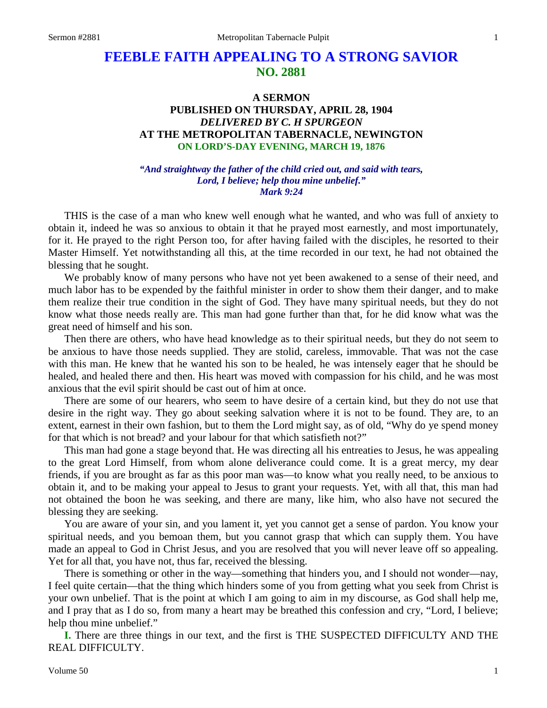# **FEEBLE FAITH APPEALING TO A STRONG SAVIOR NO. 2881**

# **A SERMON PUBLISHED ON THURSDAY, APRIL 28, 1904** *DELIVERED BY C. H SPURGEON* **AT THE METROPOLITAN TABERNACLE, NEWINGTON ON LORD'S-DAY EVENING, MARCH 19, 1876**

*"And straightway the father of the child cried out, and said with tears, Lord, I believe; help thou mine unbelief." Mark 9:24*

THIS is the case of a man who knew well enough what he wanted, and who was full of anxiety to obtain it, indeed he was so anxious to obtain it that he prayed most earnestly, and most importunately, for it. He prayed to the right Person too, for after having failed with the disciples, he resorted to their Master Himself. Yet notwithstanding all this, at the time recorded in our text, he had not obtained the blessing that he sought.

We probably know of many persons who have not yet been awakened to a sense of their need, and much labor has to be expended by the faithful minister in order to show them their danger, and to make them realize their true condition in the sight of God. They have many spiritual needs, but they do not know what those needs really are. This man had gone further than that, for he did know what was the great need of himself and his son.

Then there are others, who have head knowledge as to their spiritual needs, but they do not seem to be anxious to have those needs supplied. They are stolid, careless, immovable. That was not the case with this man. He knew that he wanted his son to be healed, he was intensely eager that he should be healed, and healed there and then. His heart was moved with compassion for his child, and he was most anxious that the evil spirit should be cast out of him at once.

There are some of our hearers, who seem to have desire of a certain kind, but they do not use that desire in the right way. They go about seeking salvation where it is not to be found. They are, to an extent, earnest in their own fashion, but to them the Lord might say, as of old, "Why do ye spend money for that which is not bread? and your labour for that which satisfieth not?"

This man had gone a stage beyond that. He was directing all his entreaties to Jesus, he was appealing to the great Lord Himself, from whom alone deliverance could come. It is a great mercy, my dear friends, if you are brought as far as this poor man was—to know what you really need, to be anxious to obtain it, and to be making your appeal to Jesus to grant your requests. Yet, with all that, this man had not obtained the boon he was seeking, and there are many, like him, who also have not secured the blessing they are seeking.

You are aware of your sin, and you lament it, yet you cannot get a sense of pardon. You know your spiritual needs, and you bemoan them, but you cannot grasp that which can supply them. You have made an appeal to God in Christ Jesus, and you are resolved that you will never leave off so appealing. Yet for all that, you have not, thus far, received the blessing.

There is something or other in the way—something that hinders you, and I should not wonder—nay, I feel quite certain—that the thing which hinders some of you from getting what you seek from Christ is your own unbelief. That is the point at which I am going to aim in my discourse, as God shall help me, and I pray that as I do so, from many a heart may be breathed this confession and cry, "Lord, I believe; help thou mine unbelief."

**I.** There are three things in our text, and the first is THE SUSPECTED DIFFICULTY AND THE REAL DIFFICULTY.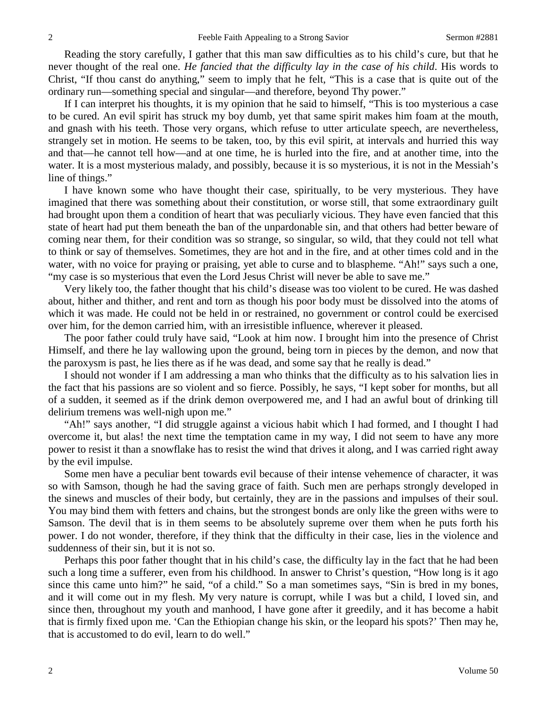Reading the story carefully, I gather that this man saw difficulties as to his child's cure, but that he never thought of the real one. *He fancied that the difficulty lay in the case of his child*. His words to Christ, "If thou canst do anything," seem to imply that he felt, "This is a case that is quite out of the ordinary run—something special and singular—and therefore, beyond Thy power."

If I can interpret his thoughts, it is my opinion that he said to himself, "This is too mysterious a case to be cured. An evil spirit has struck my boy dumb, yet that same spirit makes him foam at the mouth, and gnash with his teeth. Those very organs, which refuse to utter articulate speech, are nevertheless, strangely set in motion. He seems to be taken, too, by this evil spirit, at intervals and hurried this way and that—he cannot tell how—and at one time, he is hurled into the fire, and at another time, into the water. It is a most mysterious malady, and possibly, because it is so mysterious, it is not in the Messiah's line of things."

I have known some who have thought their case, spiritually, to be very mysterious. They have imagined that there was something about their constitution, or worse still, that some extraordinary guilt had brought upon them a condition of heart that was peculiarly vicious. They have even fancied that this state of heart had put them beneath the ban of the unpardonable sin, and that others had better beware of coming near them, for their condition was so strange, so singular, so wild, that they could not tell what to think or say of themselves. Sometimes, they are hot and in the fire, and at other times cold and in the water, with no voice for praying or praising, yet able to curse and to blaspheme. "Ah!" says such a one, "my case is so mysterious that even the Lord Jesus Christ will never be able to save me."

Very likely too, the father thought that his child's disease was too violent to be cured. He was dashed about, hither and thither, and rent and torn as though his poor body must be dissolved into the atoms of which it was made. He could not be held in or restrained, no government or control could be exercised over him, for the demon carried him, with an irresistible influence, wherever it pleased.

The poor father could truly have said, "Look at him now. I brought him into the presence of Christ Himself, and there he lay wallowing upon the ground, being torn in pieces by the demon, and now that the paroxysm is past, he lies there as if he was dead, and some say that he really is dead."

I should not wonder if I am addressing a man who thinks that the difficulty as to his salvation lies in the fact that his passions are so violent and so fierce. Possibly, he says, "I kept sober for months, but all of a sudden, it seemed as if the drink demon overpowered me, and I had an awful bout of drinking till delirium tremens was well-nigh upon me."

"Ah!" says another, "I did struggle against a vicious habit which I had formed, and I thought I had overcome it, but alas! the next time the temptation came in my way, I did not seem to have any more power to resist it than a snowflake has to resist the wind that drives it along, and I was carried right away by the evil impulse.

Some men have a peculiar bent towards evil because of their intense vehemence of character, it was so with Samson, though he had the saving grace of faith. Such men are perhaps strongly developed in the sinews and muscles of their body, but certainly, they are in the passions and impulses of their soul. You may bind them with fetters and chains, but the strongest bonds are only like the green withs were to Samson. The devil that is in them seems to be absolutely supreme over them when he puts forth his power. I do not wonder, therefore, if they think that the difficulty in their case, lies in the violence and suddenness of their sin, but it is not so.

Perhaps this poor father thought that in his child's case, the difficulty lay in the fact that he had been such a long time a sufferer, even from his childhood. In answer to Christ's question, "How long is it ago since this came unto him?" he said, "of a child." So a man sometimes says, "Sin is bred in my bones, and it will come out in my flesh. My very nature is corrupt, while I was but a child, I loved sin, and since then, throughout my youth and manhood, I have gone after it greedily, and it has become a habit that is firmly fixed upon me. 'Can the Ethiopian change his skin, or the leopard his spots?' Then may he, that is accustomed to do evil, learn to do well."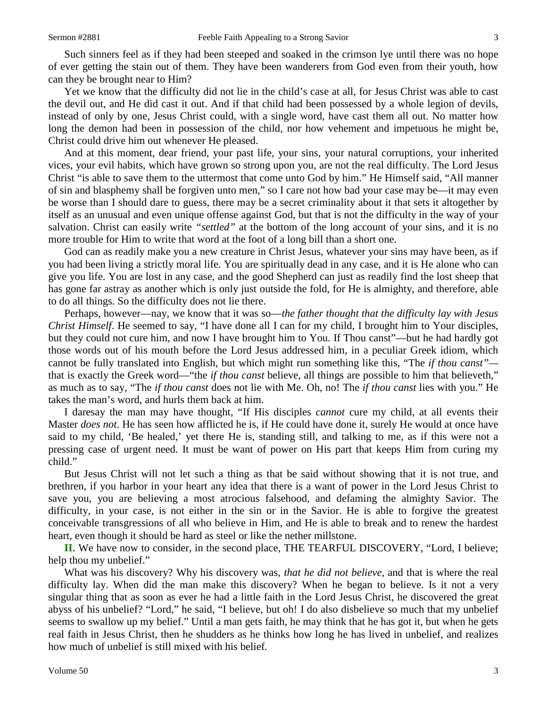Such sinners feel as if they had been steeped and soaked in the crimson lye until there was no hope of ever getting the stain out of them. They have been wanderers from God even from their youth, how can they be brought near to Him?

Yet we know that the difficulty did not lie in the child's case at all, for Jesus Christ was able to cast the devil out, and He did cast it out. And if that child had been possessed by a whole legion of devils, instead of only by one, Jesus Christ could, with a single word, have cast them all out. No matter how long the demon had been in possession of the child, nor how vehement and impetuous he might be, Christ could drive him out whenever He pleased.

And at this moment, dear friend, your past life, your sins, your natural corruptions, your inherited vices, your evil habits, which have grown so strong upon you, are not the real difficulty. The Lord Jesus Christ "is able to save them to the uttermost that come unto God by him." He Himself said, "All manner of sin and blasphemy shall be forgiven unto men," so I care not how bad your case may be—it may even be worse than I should dare to guess, there may be a secret criminality about it that sets it altogether by itself as an unusual and even unique offense against God, but that is not the difficulty in the way of your salvation. Christ can easily write *"settled"* at the bottom of the long account of your sins, and it is no more trouble for Him to write that word at the foot of a long bill than a short one.

God can as readily make you a new creature in Christ Jesus, whatever your sins may have been, as if you had been living a strictly moral life. You are spiritually dead in any case, and it is He alone who can give you life. You are lost in any case, and the good Shepherd can just as readily find the lost sheep that has gone far astray as another which is only just outside the fold, for He is almighty, and therefore, able to do all things. So the difficulty does not lie there.

Perhaps, however—nay, we know that it was so—*the father thought that the difficulty lay with Jesus Christ Himself*. He seemed to say, "I have done all I can for my child, I brought him to Your disciples, but they could not cure him, and now I have brought him to You. If Thou canst"—but he had hardly got those words out of his mouth before the Lord Jesus addressed him, in a peculiar Greek idiom, which cannot be fully translated into English, but which might run something like this, "The *if thou canst"* that is exactly the Greek word—"the *if thou canst* believe, all things are possible to him that believeth," as much as to say, "The *if thou canst* does not lie with Me. Oh, no! The *if thou canst* lies with you." He takes the man's word, and hurls them back at him.

I daresay the man may have thought, "If His disciples *cannot* cure my child, at all events their Master *does not*. He has seen how afflicted he is, if He could have done it, surely He would at once have said to my child, 'Be healed,' yet there He is, standing still, and talking to me, as if this were not a pressing case of urgent need. It must be want of power on His part that keeps Him from curing my child."

But Jesus Christ will not let such a thing as that be said without showing that it is not true, and brethren, if you harbor in your heart any idea that there is a want of power in the Lord Jesus Christ to save you, you are believing a most atrocious falsehood, and defaming the almighty Savior. The difficulty, in your case, is not either in the sin or in the Savior. He is able to forgive the greatest conceivable transgressions of all who believe in Him, and He is able to break and to renew the hardest heart, even though it should be hard as steel or like the nether millstone.

**II.** We have now to consider, in the second place, THE TEARFUL DISCOVERY, "Lord, I believe; help thou my unbelief."

What was his discovery? Why his discovery was, *that he did not believe,* and that is where the real difficulty lay. When did the man make this discovery? When he began to believe. Is it not a very singular thing that as soon as ever he had a little faith in the Lord Jesus Christ, he discovered the great abyss of his unbelief? "Lord," he said, "I believe, but oh! I do also disbelieve so much that my unbelief seems to swallow up my belief." Until a man gets faith, he may think that he has got it, but when he gets real faith in Jesus Christ, then he shudders as he thinks how long he has lived in unbelief, and realizes how much of unbelief is still mixed with his belief.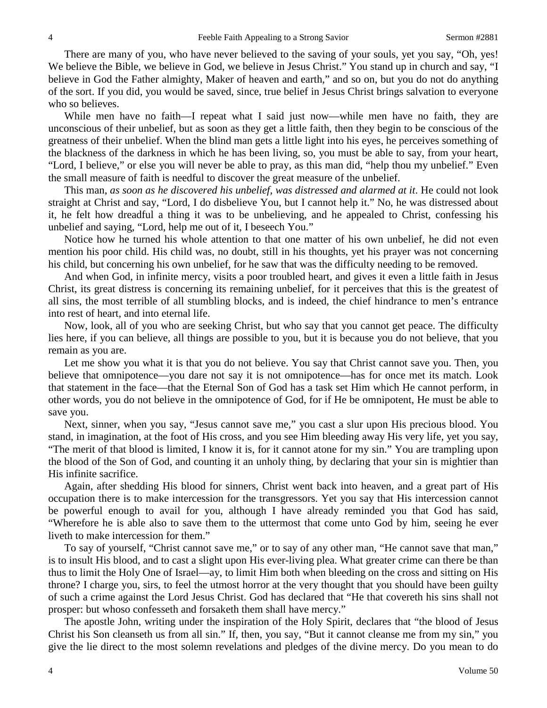There are many of you, who have never believed to the saving of your souls, yet you say, "Oh, yes! We believe the Bible, we believe in God, we believe in Jesus Christ." You stand up in church and say, "I believe in God the Father almighty, Maker of heaven and earth," and so on, but you do not do anything of the sort. If you did, you would be saved, since, true belief in Jesus Christ brings salvation to everyone who so believes.

While men have no faith—I repeat what I said just now—while men have no faith, they are unconscious of their unbelief, but as soon as they get a little faith, then they begin to be conscious of the greatness of their unbelief. When the blind man gets a little light into his eyes, he perceives something of the blackness of the darkness in which he has been living, so, you must be able to say, from your heart, "Lord, I believe," or else you will never be able to pray, as this man did, "help thou my unbelief." Even the small measure of faith is needful to discover the great measure of the unbelief.

This man, *as soon as he discovered his unbelief, was distressed and alarmed at it*. He could not look straight at Christ and say, "Lord, I do disbelieve You, but I cannot help it." No, he was distressed about it, he felt how dreadful a thing it was to be unbelieving, and he appealed to Christ, confessing his unbelief and saying, "Lord, help me out of it, I beseech You."

Notice how he turned his whole attention to that one matter of his own unbelief, he did not even mention his poor child. His child was, no doubt, still in his thoughts, yet his prayer was not concerning his child, but concerning his own unbelief, for he saw that was the difficulty needing to be removed.

And when God, in infinite mercy, visits a poor troubled heart, and gives it even a little faith in Jesus Christ, its great distress is concerning its remaining unbelief, for it perceives that this is the greatest of all sins, the most terrible of all stumbling blocks, and is indeed, the chief hindrance to men's entrance into rest of heart, and into eternal life.

Now, look, all of you who are seeking Christ, but who say that you cannot get peace. The difficulty lies here, if you can believe, all things are possible to you, but it is because you do not believe, that you remain as you are.

Let me show you what it is that you do not believe. You say that Christ cannot save you. Then, you believe that omnipotence—you dare not say it is not omnipotence—has for once met its match. Look that statement in the face—that the Eternal Son of God has a task set Him which He cannot perform, in other words, you do not believe in the omnipotence of God, for if He be omnipotent, He must be able to save you.

Next, sinner, when you say, "Jesus cannot save me," you cast a slur upon His precious blood. You stand, in imagination, at the foot of His cross, and you see Him bleeding away His very life, yet you say, "The merit of that blood is limited, I know it is, for it cannot atone for my sin." You are trampling upon the blood of the Son of God, and counting it an unholy thing, by declaring that your sin is mightier than His infinite sacrifice.

Again, after shedding His blood for sinners, Christ went back into heaven, and a great part of His occupation there is to make intercession for the transgressors. Yet you say that His intercession cannot be powerful enough to avail for you, although I have already reminded you that God has said, "Wherefore he is able also to save them to the uttermost that come unto God by him, seeing he ever liveth to make intercession for them."

To say of yourself, "Christ cannot save me," or to say of any other man, "He cannot save that man," is to insult His blood, and to cast a slight upon His ever-living plea. What greater crime can there be than thus to limit the Holy One of Israel—ay, to limit Him both when bleeding on the cross and sitting on His throne? I charge you, sirs, to feel the utmost horror at the very thought that you should have been guilty of such a crime against the Lord Jesus Christ. God has declared that "He that covereth his sins shall not prosper: but whoso confesseth and forsaketh them shall have mercy."

The apostle John, writing under the inspiration of the Holy Spirit, declares that "the blood of Jesus Christ his Son cleanseth us from all sin." If, then, you say, "But it cannot cleanse me from my sin," you give the lie direct to the most solemn revelations and pledges of the divine mercy. Do you mean to do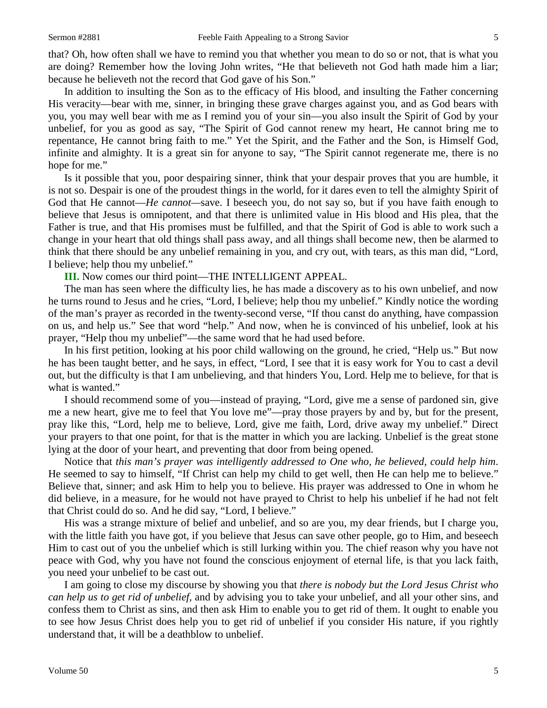that? Oh, how often shall we have to remind you that whether you mean to do so or not, that is what you are doing? Remember how the loving John writes, "He that believeth not God hath made him a liar; because he believeth not the record that God gave of his Son."

In addition to insulting the Son as to the efficacy of His blood, and insulting the Father concerning His veracity—bear with me, sinner, in bringing these grave charges against you, and as God bears with you, you may well bear with me as I remind you of your sin—you also insult the Spirit of God by your unbelief, for you as good as say, "The Spirit of God cannot renew my heart, He cannot bring me to repentance, He cannot bring faith to me." Yet the Spirit, and the Father and the Son, is Himself God, infinite and almighty. It is a great sin for anyone to say, "The Spirit cannot regenerate me, there is no hope for me."

Is it possible that you, poor despairing sinner, think that your despair proves that you are humble, it is not so. Despair is one of the proudest things in the world, for it dares even to tell the almighty Spirit of God that He cannot—*He cannot—*save. I beseech you, do not say so, but if you have faith enough to believe that Jesus is omnipotent, and that there is unlimited value in His blood and His plea, that the Father is true, and that His promises must be fulfilled, and that the Spirit of God is able to work such a change in your heart that old things shall pass away, and all things shall become new, then be alarmed to think that there should be any unbelief remaining in you, and cry out, with tears, as this man did, "Lord, I believe; help thou my unbelief."

**III.** Now comes our third point—THE INTELLIGENT APPEAL.

The man has seen where the difficulty lies, he has made a discovery as to his own unbelief, and now he turns round to Jesus and he cries, "Lord, I believe; help thou my unbelief." Kindly notice the wording of the man's prayer as recorded in the twenty-second verse, "If thou canst do anything, have compassion on us, and help us." See that word "help." And now, when he is convinced of his unbelief, look at his prayer, "Help thou my unbelief"—the same word that he had used before.

In his first petition, looking at his poor child wallowing on the ground, he cried, "Help us." But now he has been taught better, and he says, in effect, "Lord, I see that it is easy work for You to cast a devil out, but the difficulty is that I am unbelieving, and that hinders You, Lord. Help me to believe, for that is what is wanted."

I should recommend some of you—instead of praying, "Lord, give me a sense of pardoned sin, give me a new heart, give me to feel that You love me"—pray those prayers by and by, but for the present, pray like this, "Lord, help me to believe, Lord, give me faith, Lord, drive away my unbelief." Direct your prayers to that one point, for that is the matter in which you are lacking. Unbelief is the great stone lying at the door of your heart, and preventing that door from being opened.

Notice that *this man's prayer was intelligently addressed to One who, he believed, could help him*. He seemed to say to himself, "If Christ can help my child to get well, then He can help me to believe." Believe that, sinner; and ask Him to help you to believe. His prayer was addressed to One in whom he did believe, in a measure, for he would not have prayed to Christ to help his unbelief if he had not felt that Christ could do so. And he did say, "Lord, I believe."

His was a strange mixture of belief and unbelief, and so are you, my dear friends, but I charge you, with the little faith you have got, if you believe that Jesus can save other people, go to Him, and beseech Him to cast out of you the unbelief which is still lurking within you. The chief reason why you have not peace with God, why you have not found the conscious enjoyment of eternal life, is that you lack faith, you need your unbelief to be cast out.

I am going to close my discourse by showing you that *there is nobody but the Lord Jesus Christ who can help us to get rid of unbelief,* and by advising you to take your unbelief, and all your other sins, and confess them to Christ as sins, and then ask Him to enable you to get rid of them. It ought to enable you to see how Jesus Christ does help you to get rid of unbelief if you consider His nature, if you rightly understand that, it will be a deathblow to unbelief.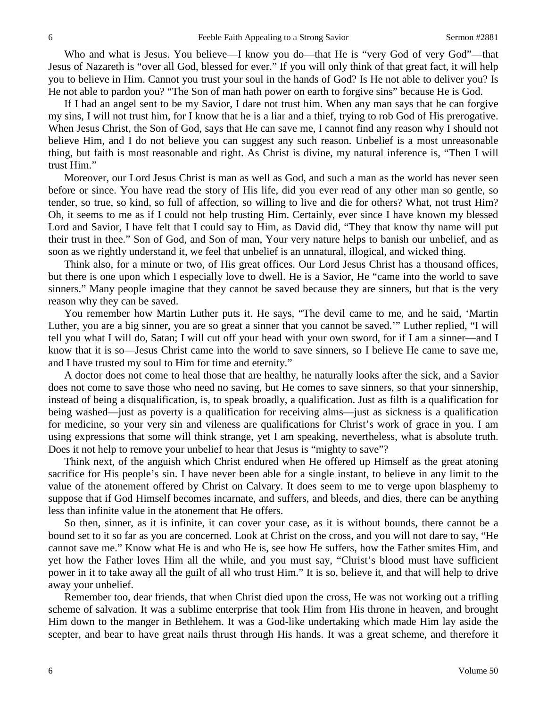Who and what is Jesus. You believe—I know you do—that He is "very God of very God"—that Jesus of Nazareth is "over all God, blessed for ever." If you will only think of that great fact, it will help you to believe in Him. Cannot you trust your soul in the hands of God? Is He not able to deliver you? Is He not able to pardon you? "The Son of man hath power on earth to forgive sins" because He is God.

If I had an angel sent to be my Savior, I dare not trust him. When any man says that he can forgive my sins, I will not trust him, for I know that he is a liar and a thief, trying to rob God of His prerogative. When Jesus Christ, the Son of God, says that He can save me, I cannot find any reason why I should not believe Him, and I do not believe you can suggest any such reason. Unbelief is a most unreasonable thing, but faith is most reasonable and right. As Christ is divine, my natural inference is, "Then I will trust Him."

Moreover, our Lord Jesus Christ is man as well as God, and such a man as the world has never seen before or since. You have read the story of His life, did you ever read of any other man so gentle, so tender, so true, so kind, so full of affection, so willing to live and die for others? What, not trust Him? Oh, it seems to me as if I could not help trusting Him. Certainly, ever since I have known my blessed Lord and Savior, I have felt that I could say to Him, as David did, "They that know thy name will put their trust in thee." Son of God, and Son of man, Your very nature helps to banish our unbelief, and as soon as we rightly understand it, we feel that unbelief is an unnatural, illogical, and wicked thing.

Think also, for a minute or two, of His great offices. Our Lord Jesus Christ has a thousand offices, but there is one upon which I especially love to dwell. He is a Savior, He "came into the world to save sinners." Many people imagine that they cannot be saved because they are sinners, but that is the very reason why they can be saved.

You remember how Martin Luther puts it. He says, "The devil came to me, and he said, 'Martin Luther, you are a big sinner, you are so great a sinner that you cannot be saved.'" Luther replied, "I will tell you what I will do, Satan; I will cut off your head with your own sword, for if I am a sinner—and I know that it is so—Jesus Christ came into the world to save sinners, so I believe He came to save me, and I have trusted my soul to Him for time and eternity."

A doctor does not come to heal those that are healthy, he naturally looks after the sick, and a Savior does not come to save those who need no saving, but He comes to save sinners, so that your sinnership, instead of being a disqualification, is, to speak broadly, a qualification. Just as filth is a qualification for being washed—just as poverty is a qualification for receiving alms—just as sickness is a qualification for medicine, so your very sin and vileness are qualifications for Christ's work of grace in you. I am using expressions that some will think strange, yet I am speaking, nevertheless, what is absolute truth. Does it not help to remove your unbelief to hear that Jesus is "mighty to save"?

Think next, of the anguish which Christ endured when He offered up Himself as the great atoning sacrifice for His people's sin. I have never been able for a single instant, to believe in any limit to the value of the atonement offered by Christ on Calvary. It does seem to me to verge upon blasphemy to suppose that if God Himself becomes incarnate, and suffers, and bleeds, and dies, there can be anything less than infinite value in the atonement that He offers.

So then, sinner, as it is infinite, it can cover your case, as it is without bounds, there cannot be a bound set to it so far as you are concerned. Look at Christ on the cross, and you will not dare to say, "He cannot save me." Know what He is and who He is, see how He suffers, how the Father smites Him, and yet how the Father loves Him all the while, and you must say, "Christ's blood must have sufficient power in it to take away all the guilt of all who trust Him." It is so, believe it, and that will help to drive away your unbelief.

Remember too, dear friends, that when Christ died upon the cross, He was not working out a trifling scheme of salvation. It was a sublime enterprise that took Him from His throne in heaven, and brought Him down to the manger in Bethlehem. It was a God-like undertaking which made Him lay aside the scepter, and bear to have great nails thrust through His hands. It was a great scheme, and therefore it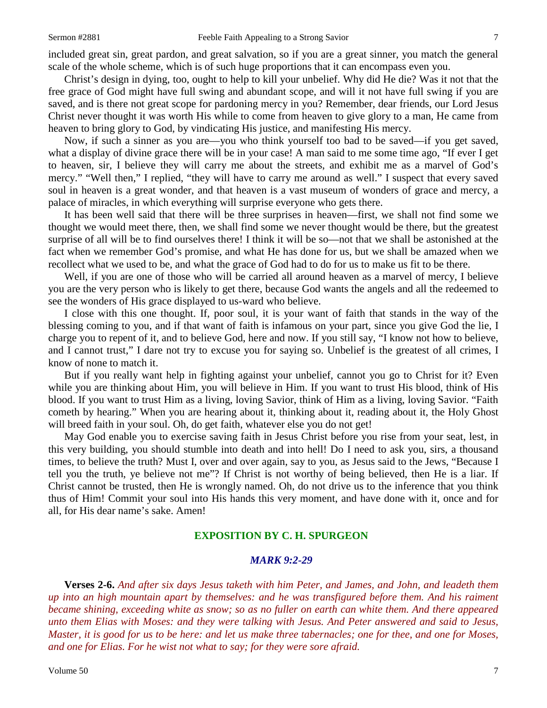included great sin, great pardon, and great salvation, so if you are a great sinner, you match the general scale of the whole scheme, which is of such huge proportions that it can encompass even you.

Christ's design in dying, too, ought to help to kill your unbelief. Why did He die? Was it not that the free grace of God might have full swing and abundant scope, and will it not have full swing if you are saved, and is there not great scope for pardoning mercy in you? Remember, dear friends, our Lord Jesus Christ never thought it was worth His while to come from heaven to give glory to a man, He came from heaven to bring glory to God, by vindicating His justice, and manifesting His mercy.

Now, if such a sinner as you are—you who think yourself too bad to be saved—if you get saved, what a display of divine grace there will be in your case! A man said to me some time ago, "If ever I get to heaven, sir, I believe they will carry me about the streets, and exhibit me as a marvel of God's mercy." "Well then," I replied, "they will have to carry me around as well." I suspect that every saved soul in heaven is a great wonder, and that heaven is a vast museum of wonders of grace and mercy, a palace of miracles, in which everything will surprise everyone who gets there.

It has been well said that there will be three surprises in heaven—first, we shall not find some we thought we would meet there, then, we shall find some we never thought would be there, but the greatest surprise of all will be to find ourselves there! I think it will be so—not that we shall be astonished at the fact when we remember God's promise, and what He has done for us, but we shall be amazed when we recollect what we used to be, and what the grace of God had to do for us to make us fit to be there.

Well, if you are one of those who will be carried all around heaven as a marvel of mercy, I believe you are the very person who is likely to get there, because God wants the angels and all the redeemed to see the wonders of His grace displayed to us-ward who believe.

I close with this one thought. If, poor soul, it is your want of faith that stands in the way of the blessing coming to you, and if that want of faith is infamous on your part, since you give God the lie, I charge you to repent of it, and to believe God, here and now. If you still say, "I know not how to believe, and I cannot trust," I dare not try to excuse you for saying so. Unbelief is the greatest of all crimes, I know of none to match it.

But if you really want help in fighting against your unbelief, cannot you go to Christ for it? Even while you are thinking about Him, you will believe in Him. If you want to trust His blood, think of His blood. If you want to trust Him as a living, loving Savior, think of Him as a living, loving Savior. "Faith cometh by hearing." When you are hearing about it, thinking about it, reading about it, the Holy Ghost will breed faith in your soul. Oh, do get faith, whatever else you do not get!

May God enable you to exercise saving faith in Jesus Christ before you rise from your seat, lest, in this very building, you should stumble into death and into hell! Do I need to ask you, sirs, a thousand times, to believe the truth? Must I, over and over again, say to you, as Jesus said to the Jews, "Because I tell you the truth, ye believe not me"? If Christ is not worthy of being believed, then He is a liar. If Christ cannot be trusted, then He is wrongly named. Oh, do not drive us to the inference that you think thus of Him! Commit your soul into His hands this very moment, and have done with it, once and for all, for His dear name's sake. Amen!

# **EXPOSITION BY C. H. SPURGEON**

### *MARK 9:2-29*

**Verses 2-6.** *And after six days Jesus taketh with him Peter, and James, and John, and leadeth them up into an high mountain apart by themselves: and he was transfigured before them. And his raiment became shining, exceeding white as snow; so as no fuller on earth can white them. And there appeared unto them Elias with Moses: and they were talking with Jesus. And Peter answered and said to Jesus, Master, it is good for us to be here: and let us make three tabernacles; one for thee, and one for Moses, and one for Elias. For he wist not what to say; for they were sore afraid.*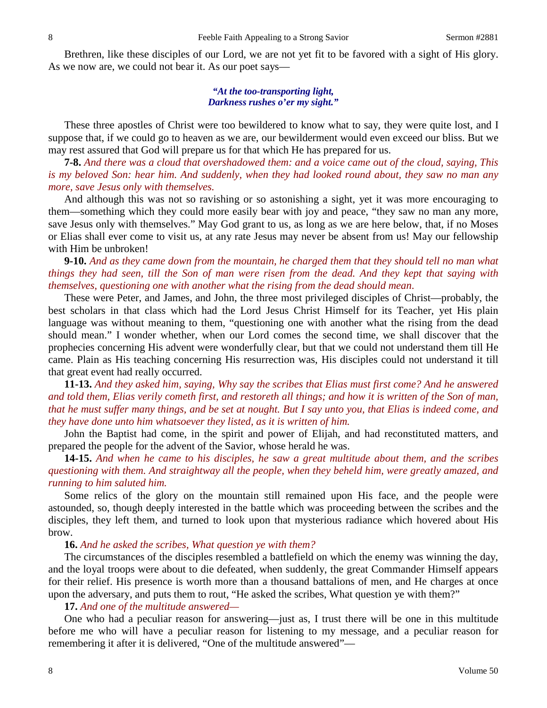Brethren, like these disciples of our Lord, we are not yet fit to be favored with a sight of His glory. As we now are, we could not bear it. As our poet says—

#### *"At the too-transporting light, Darkness rushes o'er my sight."*

These three apostles of Christ were too bewildered to know what to say, they were quite lost, and I suppose that, if we could go to heaven as we are, our bewilderment would even exceed our bliss. But we may rest assured that God will prepare us for that which He has prepared for us.

**7-8.** *And there was a cloud that overshadowed them: and a voice came out of the cloud, saying, This is my beloved Son: hear him. And suddenly, when they had looked round about, they saw no man any more, save Jesus only with themselves.*

And although this was not so ravishing or so astonishing a sight, yet it was more encouraging to them—something which they could more easily bear with joy and peace, "they saw no man any more, save Jesus only with themselves." May God grant to us, as long as we are here below, that, if no Moses or Elias shall ever come to visit us, at any rate Jesus may never be absent from us! May our fellowship with Him be unbroken!

**9-10.** *And as they came down from the mountain, he charged them that they should tell no man what things they had seen, till the Son of man were risen from the dead. And they kept that saying with themselves, questioning one with another what the rising from the dead should mean*.

These were Peter, and James, and John, the three most privileged disciples of Christ—probably, the best scholars in that class which had the Lord Jesus Christ Himself for its Teacher, yet His plain language was without meaning to them, "questioning one with another what the rising from the dead should mean." I wonder whether, when our Lord comes the second time, we shall discover that the prophecies concerning His advent were wonderfully clear, but that we could not understand them till He came. Plain as His teaching concerning His resurrection was, His disciples could not understand it till that great event had really occurred.

**11-13.** *And they asked him, saying, Why say the scribes that Elias must first come? And he answered and told them, Elias verily cometh first, and restoreth all things; and how it is written of the Son of man, that he must suffer many things, and be set at nought. But I say unto you, that Elias is indeed come, and they have done unto him whatsoever they listed, as it is written of him.*

John the Baptist had come, in the spirit and power of Elijah, and had reconstituted matters, and prepared the people for the advent of the Savior, whose herald he was.

**14-15.** *And when he came to his disciples, he saw a great multitude about them, and the scribes questioning with them. And straightway all the people, when they beheld him, were greatly amazed, and running to him saluted him.*

Some relics of the glory on the mountain still remained upon His face, and the people were astounded, so, though deeply interested in the battle which was proceeding between the scribes and the disciples, they left them, and turned to look upon that mysterious radiance which hovered about His brow.

#### **16.** *And he asked the scribes, What question ye with them?*

The circumstances of the disciples resembled a battlefield on which the enemy was winning the day, and the loyal troops were about to die defeated, when suddenly, the great Commander Himself appears for their relief. His presence is worth more than a thousand battalions of men, and He charges at once upon the adversary, and puts them to rout, "He asked the scribes, What question ye with them?"

#### **17.** *And one of the multitude answered—*

One who had a peculiar reason for answering—just as, I trust there will be one in this multitude before me who will have a peculiar reason for listening to my message, and a peculiar reason for remembering it after it is delivered, "One of the multitude answered"—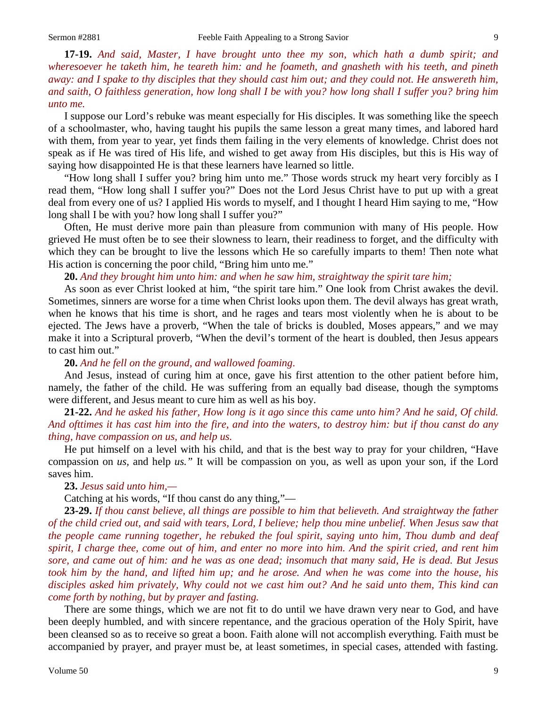**17-19.** *And said, Master, I have brought unto thee my son, which hath a dumb spirit; and wheresoever he taketh him, he teareth him: and he foameth, and gnasheth with his teeth, and pineth away: and I spake to thy disciples that they should cast him out; and they could not. He answereth him, and saith, O faithless generation, how long shall I be with you? how long shall I suffer you? bring him unto me.*

I suppose our Lord's rebuke was meant especially for His disciples. It was something like the speech of a schoolmaster, who, having taught his pupils the same lesson a great many times, and labored hard with them, from year to year, yet finds them failing in the very elements of knowledge. Christ does not speak as if He was tired of His life, and wished to get away from His disciples, but this is His way of saying how disappointed He is that these learners have learned so little.

"How long shall I suffer you? bring him unto me." Those words struck my heart very forcibly as I read them, "How long shall I suffer you?" Does not the Lord Jesus Christ have to put up with a great deal from every one of us? I applied His words to myself, and I thought I heard Him saying to me, "How long shall I be with you? how long shall I suffer you?"

Often, He must derive more pain than pleasure from communion with many of His people. How grieved He must often be to see their slowness to learn, their readiness to forget, and the difficulty with which they can be brought to live the lessons which He so carefully imparts to them! Then note what His action is concerning the poor child, "Bring him unto me."

## **20.** *And they brought him unto him: and when he saw him, straightway the spirit tare him;*

As soon as ever Christ looked at him, "the spirit tare him." One look from Christ awakes the devil. Sometimes, sinners are worse for a time when Christ looks upon them. The devil always has great wrath, when he knows that his time is short, and he rages and tears most violently when he is about to be ejected. The Jews have a proverb, "When the tale of bricks is doubled, Moses appears," and we may make it into a Scriptural proverb, "When the devil's torment of the heart is doubled, then Jesus appears to cast him out."

**20.** *And he fell on the ground, and wallowed foaming*.

And Jesus, instead of curing him at once, gave his first attention to the other patient before him, namely, the father of the child. He was suffering from an equally bad disease, though the symptoms were different, and Jesus meant to cure him as well as his boy.

**21-22.** *And he asked his father, How long is it ago since this came unto him? And he said, Of child. And ofttimes it has cast him into the fire, and into the waters, to destroy him: but if thou canst do any thing, have compassion on us, and help us.*

He put himself on a level with his child, and that is the best way to pray for your children, "Have compassion on *us,* and help *us."* It will be compassion on you, as well as upon your son, if the Lord saves him.

# **23.** *Jesus said unto him,—*

Catching at his words, "If thou canst do any thing,"—

**23-29.** *If thou canst believe, all things are possible to him that believeth. And straightway the father of the child cried out, and said with tears, Lord, I believe; help thou mine unbelief. When Jesus saw that the people came running together, he rebuked the foul spirit, saying unto him, Thou dumb and deaf spirit, I charge thee, come out of him, and enter no more into him. And the spirit cried, and rent him sore, and came out of him: and he was as one dead; insomuch that many said, He is dead. But Jesus took him by the hand, and lifted him up; and he arose. And when he was come into the house, his disciples asked him privately, Why could not we cast him out? And he said unto them, This kind can come forth by nothing, but by prayer and fasting.*

There are some things, which we are not fit to do until we have drawn very near to God, and have been deeply humbled, and with sincere repentance, and the gracious operation of the Holy Spirit, have been cleansed so as to receive so great a boon. Faith alone will not accomplish everything. Faith must be accompanied by prayer, and prayer must be, at least sometimes, in special cases, attended with fasting.